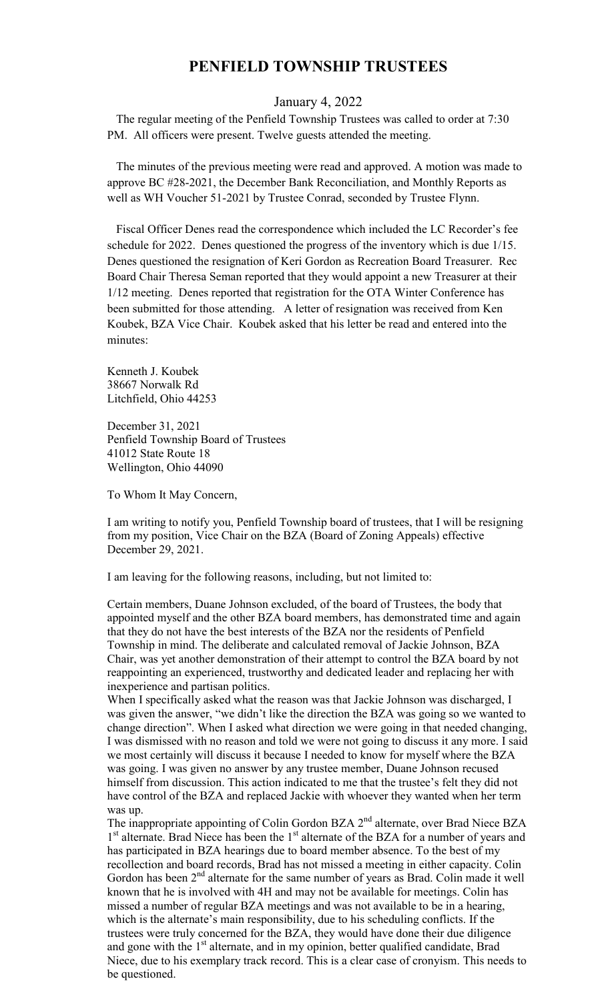## **PENFIELD TOWNSHIP TRUSTEES**

## January 4, 2022

 The regular meeting of the Penfield Township Trustees was called to order at 7:30 PM. All officers were present. Twelve guests attended the meeting.

 The minutes of the previous meeting were read and approved. A motion was made to approve BC #28-2021, the December Bank Reconciliation, and Monthly Reports as well as WH Voucher 51-2021 by Trustee Conrad, seconded by Trustee Flynn.

 Fiscal Officer Denes read the correspondence which included the LC Recorder's fee schedule for 2022. Denes questioned the progress of the inventory which is due 1/15. Denes questioned the resignation of Keri Gordon as Recreation Board Treasurer. Rec Board Chair Theresa Seman reported that they would appoint a new Treasurer at their 1/12 meeting. Denes reported that registration for the OTA Winter Conference has been submitted for those attending. A letter of resignation was received from Ken Koubek, BZA Vice Chair. Koubek asked that his letter be read and entered into the minutes:

Kenneth J. Koubek 38667 Norwalk Rd Litchfield, Ohio 44253

December 31, 2021 Penfield Township Board of Trustees 41012 State Route 18 Wellington, Ohio 44090

To Whom It May Concern,

I am writing to notify you, Penfield Township board of trustees, that I will be resigning from my position, Vice Chair on the BZA (Board of Zoning Appeals) effective December 29, 2021.

I am leaving for the following reasons, including, but not limited to:

Certain members, Duane Johnson excluded, of the board of Trustees, the body that appointed myself and the other BZA board members, has demonstrated time and again that they do not have the best interests of the BZA nor the residents of Penfield Township in mind. The deliberate and calculated removal of Jackie Johnson, BZA Chair, was yet another demonstration of their attempt to control the BZA board by not reappointing an experienced, trustworthy and dedicated leader and replacing her with inexperience and partisan politics.

When I specifically asked what the reason was that Jackie Johnson was discharged, I was given the answer, "we didn't like the direction the BZA was going so we wanted to change direction". When I asked what direction we were going in that needed changing, I was dismissed with no reason and told we were not going to discuss it any more. I said we most certainly will discuss it because I needed to know for myself where the BZA was going. I was given no answer by any trustee member, Duane Johnson recused himself from discussion. This action indicated to me that the trustee's felt they did not have control of the BZA and replaced Jackie with whoever they wanted when her term was up.

The inappropriate appointing of Colin Gordon BZA 2<sup>nd</sup> alternate, over Brad Niece BZA 1<sup>st</sup> alternate. Brad Niece has been the 1<sup>st</sup> alternate of the BZA for a number of years and has participated in BZA hearings due to board member absence. To the best of my recollection and board records, Brad has not missed a meeting in either capacity. Colin Gordon has been  $2<sup>nd</sup>$  alternate for the same number of years as Brad. Colin made it well known that he is involved with 4H and may not be available for meetings. Colin has missed a number of regular BZA meetings and was not available to be in a hearing, which is the alternate's main responsibility, due to his scheduling conflicts. If the trustees were truly concerned for the BZA, they would have done their due diligence and gone with the 1<sup>st</sup> alternate, and in my opinion, better qualified candidate, Brad Niece, due to his exemplary track record. This is a clear case of cronyism. This needs to be questioned.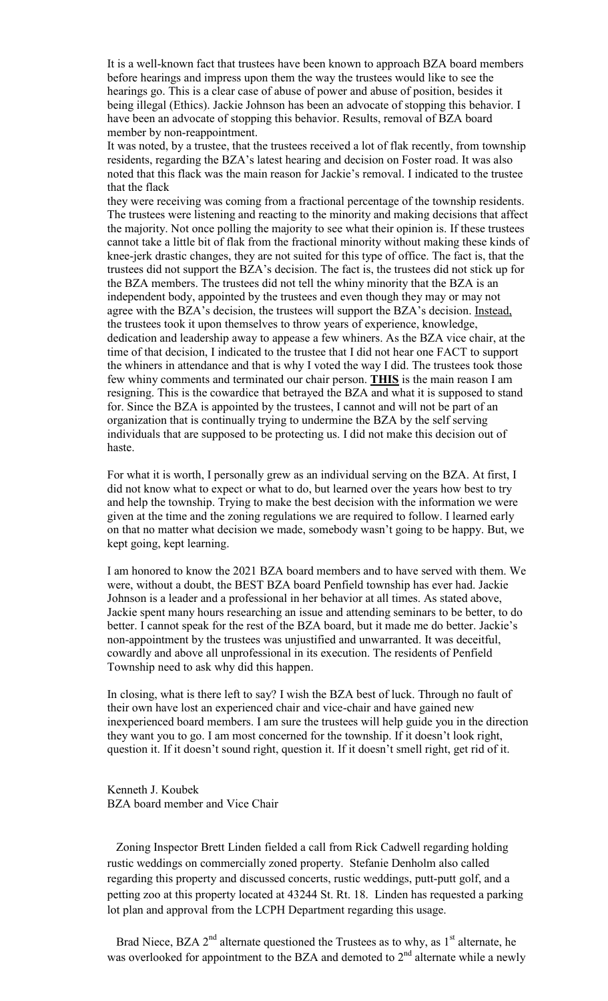It is a well-known fact that trustees have been known to approach BZA board members before hearings and impress upon them the way the trustees would like to see the hearings go. This is a clear case of abuse of power and abuse of position, besides it being illegal (Ethics). Jackie Johnson has been an advocate of stopping this behavior. I have been an advocate of stopping this behavior. Results, removal of BZA board member by non-reappointment.

It was noted, by a trustee, that the trustees received a lot of flak recently, from township residents, regarding the BZA's latest hearing and decision on Foster road. It was also noted that this flack was the main reason for Jackie's removal. I indicated to the trustee that the flack

they were receiving was coming from a fractional percentage of the township residents. The trustees were listening and reacting to the minority and making decisions that affect the majority. Not once polling the majority to see what their opinion is. If these trustees cannot take a little bit of flak from the fractional minority without making these kinds of knee-jerk drastic changes, they are not suited for this type of office. The fact is, that the trustees did not support the BZA's decision. The fact is, the trustees did not stick up for the BZA members. The trustees did not tell the whiny minority that the BZA is an independent body, appointed by the trustees and even though they may or may not agree with the BZA's decision, the trustees will support the BZA's decision. Instead, the trustees took it upon themselves to throw years of experience, knowledge, dedication and leadership away to appease a few whiners. As the BZA vice chair, at the time of that decision, I indicated to the trustee that I did not hear one FACT to support the whiners in attendance and that is why I voted the way I did. The trustees took those few whiny comments and terminated our chair person. **THIS** is the main reason I am resigning. This is the cowardice that betrayed the BZA and what it is supposed to stand for. Since the BZA is appointed by the trustees, I cannot and will not be part of an organization that is continually trying to undermine the BZA by the self serving individuals that are supposed to be protecting us. I did not make this decision out of haste.

For what it is worth, I personally grew as an individual serving on the BZA. At first, I did not know what to expect or what to do, but learned over the years how best to try and help the township. Trying to make the best decision with the information we were given at the time and the zoning regulations we are required to follow. I learned early on that no matter what decision we made, somebody wasn't going to be happy. But, we kept going, kept learning.

I am honored to know the 2021 BZA board members and to have served with them. We were, without a doubt, the BEST BZA board Penfield township has ever had. Jackie Johnson is a leader and a professional in her behavior at all times. As stated above, Jackie spent many hours researching an issue and attending seminars to be better, to do better. I cannot speak for the rest of the BZA board, but it made me do better. Jackie's non-appointment by the trustees was unjustified and unwarranted. It was deceitful, cowardly and above all unprofessional in its execution. The residents of Penfield Township need to ask why did this happen.

In closing, what is there left to say? I wish the BZA best of luck. Through no fault of their own have lost an experienced chair and vice-chair and have gained new inexperienced board members. I am sure the trustees will help guide you in the direction they want you to go. I am most concerned for the township. If it doesn't look right, question it. If it doesn't sound right, question it. If it doesn't smell right, get rid of it.

Kenneth J. Koubek BZA board member and Vice Chair

 Zoning Inspector Brett Linden fielded a call from Rick Cadwell regarding holding rustic weddings on commercially zoned property. Stefanie Denholm also called regarding this property and discussed concerts, rustic weddings, putt-putt golf, and a petting zoo at this property located at 43244 St. Rt. 18. Linden has requested a parking lot plan and approval from the LCPH Department regarding this usage.

Brad Niece, BZA  $2<sup>nd</sup>$  alternate questioned the Trustees as to why, as  $1<sup>st</sup>$  alternate, he was overlooked for appointment to the BZA and demoted to  $2<sup>nd</sup>$  alternate while a newly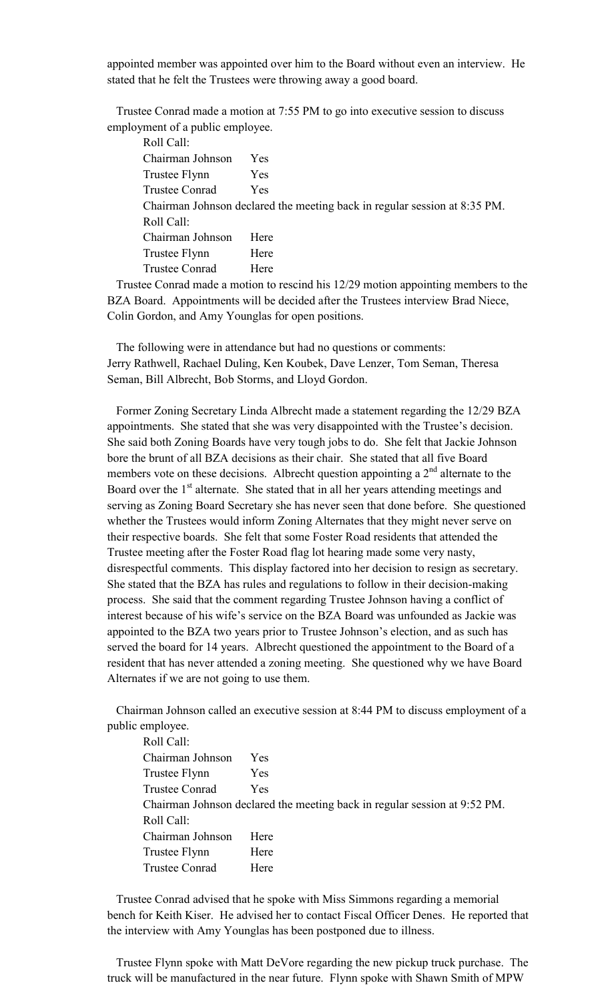appointed member was appointed over him to the Board without even an interview. He stated that he felt the Trustees were throwing away a good board.

 Trustee Conrad made a motion at 7:55 PM to go into executive session to discuss employment of a public employee.

| Roll Call:                                                                |            |  |
|---------------------------------------------------------------------------|------------|--|
| Chairman Johnson                                                          | <b>Yes</b> |  |
| Trustee Flynn                                                             | <b>Yes</b> |  |
| <b>Trustee Conrad</b>                                                     | <b>Yes</b> |  |
| Chairman Johnson declared the meeting back in regular session at 8:35 PM. |            |  |
| Roll Call:                                                                |            |  |
| Chairman Johnson                                                          | Here       |  |
| Trustee Flynn                                                             | Here       |  |
| <b>Trustee Conrad</b>                                                     | Here       |  |
|                                                                           |            |  |

 Trustee Conrad made a motion to rescind his 12/29 motion appointing members to the BZA Board. Appointments will be decided after the Trustees interview Brad Niece, Colin Gordon, and Amy Younglas for open positions.

 The following were in attendance but had no questions or comments: Jerry Rathwell, Rachael Duling, Ken Koubek, Dave Lenzer, Tom Seman, Theresa Seman, Bill Albrecht, Bob Storms, and Lloyd Gordon.

 Former Zoning Secretary Linda Albrecht made a statement regarding the 12/29 BZA appointments. She stated that she was very disappointed with the Trustee's decision. She said both Zoning Boards have very tough jobs to do. She felt that Jackie Johnson bore the brunt of all BZA decisions as their chair. She stated that all five Board members vote on these decisions. Albrecht question appointing a  $2<sup>nd</sup>$  alternate to the Board over the  $1<sup>st</sup>$  alternate. She stated that in all her years attending meetings and serving as Zoning Board Secretary she has never seen that done before. She questioned whether the Trustees would inform Zoning Alternates that they might never serve on their respective boards. She felt that some Foster Road residents that attended the Trustee meeting after the Foster Road flag lot hearing made some very nasty, disrespectful comments. This display factored into her decision to resign as secretary. She stated that the BZA has rules and regulations to follow in their decision-making process. She said that the comment regarding Trustee Johnson having a conflict of interest because of his wife's service on the BZA Board was unfounded as Jackie was appointed to the BZA two years prior to Trustee Johnson's election, and as such has served the board for 14 years. Albrecht questioned the appointment to the Board of a resident that has never attended a zoning meeting. She questioned why we have Board Alternates if we are not going to use them.

 Chairman Johnson called an executive session at 8:44 PM to discuss employment of a public employee.

| Roll Call:                                                                |            |
|---------------------------------------------------------------------------|------------|
| Chairman Johnson                                                          | Yes        |
| Trustee Flynn                                                             | <b>Yes</b> |
| Trustee Conrad                                                            | Yes        |
| Chairman Johnson declared the meeting back in regular session at 9:52 PM. |            |
| Roll Call:                                                                |            |
| Chairman Johnson                                                          | Here       |
| Trustee Flynn                                                             | Here       |
| Trustee Conrad                                                            | Here       |
|                                                                           |            |

 Trustee Conrad advised that he spoke with Miss Simmons regarding a memorial bench for Keith Kiser. He advised her to contact Fiscal Officer Denes. He reported that the interview with Amy Younglas has been postponed due to illness.

 Trustee Flynn spoke with Matt DeVore regarding the new pickup truck purchase. The truck will be manufactured in the near future. Flynn spoke with Shawn Smith of MPW